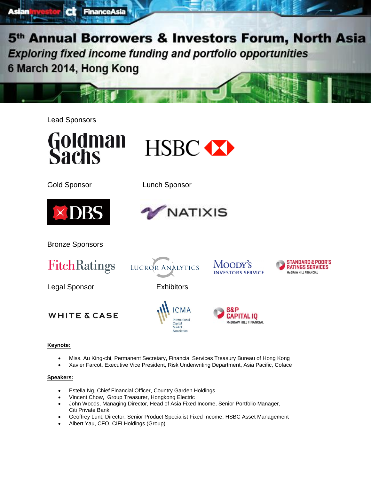Lead Sponsors

Asian



**Finance Asia** 



Gold Sponsor Lunch Sponsor





MOODY'S

**INVESTORS SERVICE** 

APITAL 10

**McGRAW HILL FINANCIAL** 

**STANDARD & POOR'S** 

**RATINGS SERVICES** 

McGRAW HILL FINANCIAL

Bronze Sponsors



Legal Sponsor **Exhibitors** 

LUCROR ANALYTICS



### **Keynote:**

- Miss. Au King-chi, Permanent Secretary, Financial Services Treasury Bureau of Hong Kong
- Xavier Farcot, Executive Vice President, Risk Underwriting Department, Asia Pacific, Coface

International

Capital<br>Market Association

### **Speakers:**

- Estella Ng, Chief Financial Officer, Country Garden Holdings
- Vincent Chow, Group Treasurer, Hongkong Electric
- John Woods, Managing Director, Head of Asia Fixed Income, Senior Portfolio Manager, Citi Private Bank
- Geoffrey Lunt, Director, Senior Product Specialist Fixed Income, HSBC Asset Management
- Albert Yau, CFO, CIFI Holdings (Group)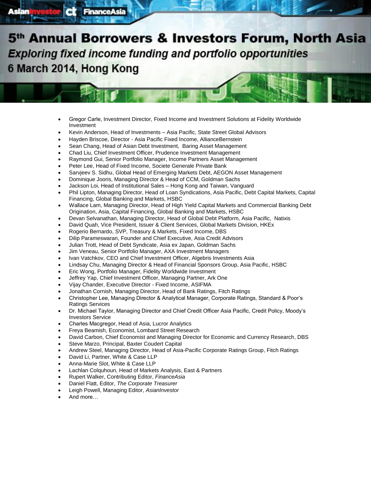- Gregor Carle, Investment Director, Fixed Income and Investment Solutions at Fidelity Worldwide Investment
- Kevin Anderson, Head of Investments Asia Pacific, State Street Global Advisors
- Hayden Briscoe, Director Asia Pacific Fixed Income, AllianceBernstein
- Sean Chang, Head of Asian Debt Investment, Baring Asset Management
- Chad Liu, Chief Investment Officer, Prudence Investment Management
- Raymond Gui, Senior Portfolio Manager, Income Partners Asset Management
- Peter Lee, Head of Fixed Income, Societe Generale Private Bank

FinanceAsia

- Sarvjeev S. Sidhu, Global Head of Emerging Markets Debt, AEGON Asset Management
- Dominique Jooris, Managing Director & Head of CCM, Goldman Sachs
- Jackson Loi, Head of Institutional Sales Hong Kong and Taiwan, Vanguard
- Phil Lipton, Managing Director, Head of Loan Syndications, Asia Pacific, Debt Capital Markets, Capital Financing, Global Banking and Markets, HSBC
- Wallace Lam, Managing Director, Head of High Yield Capital Markets and Commercial Banking Debt Origination, Asia, Capital Financing, Global Banking and Markets, HSBC
- Devan Selvanathan, Managing Director, Head of Global Debt Platform, Asia Pacific, Natixis
- David Quah, Vice President, Issuer & Client Services, Global Markets Division, HKEx
- Rogerio Bernardo, SVP, Treasury & Markets, Fixed Income, DBS
- Dilip Parameswaran, Founder and Chief Executive, Asia Credit Advisors
- Julian Trott, Head of Debt Syndicate, Asia ex Japan, Goldman Sachs
- Jim Veneau, Senior Portfolio Manager, AXA Investment Managers
- Ivan Vatchkov, CEO and Chief Investment Officer, Algebris Investments Asia
- Lindsay Chu, Managing Director & Head of Financial Sponsors Group, Asia Pacific, HSBC
- Eric Wong, Portfolio Manager, Fidelity Worldwide Investment
- Jeffrey Yap, Chief Investment Officer, Managing Partner, Ark One
- Vijay Chander, Executive Director Fixed Income, ASIFMA
- Jonathan Cornish, Managing Director, Head of Bank Ratings, Fitch Ratings
- Christopher Lee, Managing Director & Analytical Manager, Corporate Ratings, Standard & Poor's Ratings Services
- Dr. Michael Taylor, Managing Director and Chief Credit Officer Asia Pacific, Credit Policy, Moody's Investors Service
- Charles Macgregor, Head of Asia, Lucror Analytics
- Freya Beamish, Economist, Lombard Street Research
- David Carbon, Chief Economist and Managing Director for Economic and Currency Research, DBS
- Steve Marzo, Principal, Baxter Coudert Capital
- Andrew Steel, Managing Director, Head of Asia-Pacific Corporate Ratings Group, Fitch Ratings
- David Li, Partner, White & Case LLP
- Anna-Marie Slot, White & Case LLP
- Lachlan Colquhoun, Head of Markets Analysis, East & Partners
- Rupert Walker, Contributing Editor, *FinanceAsia*
- Daniel Flatt, Editor, *The Corporate Treasurer*
- Leigh Powell, Managing Editor, *AsianInvestor*
- And more...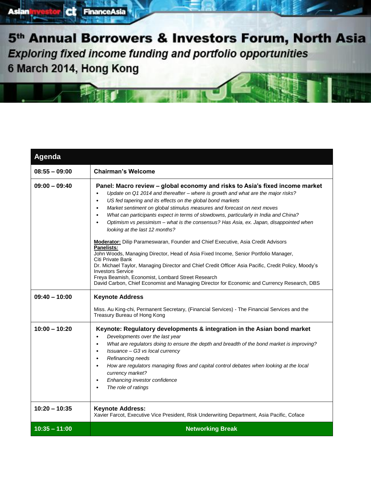| Agenda          |                                                                                                                                                                                                                                                                                                                                                                                                                                                                                                                                                                                  |  |
|-----------------|----------------------------------------------------------------------------------------------------------------------------------------------------------------------------------------------------------------------------------------------------------------------------------------------------------------------------------------------------------------------------------------------------------------------------------------------------------------------------------------------------------------------------------------------------------------------------------|--|
| $08:55 - 09:00$ | <b>Chairman's Welcome</b>                                                                                                                                                                                                                                                                                                                                                                                                                                                                                                                                                        |  |
| $09:00 - 09:40$ | Panel: Macro review - global economy and risks to Asia's fixed income market<br>Update on Q1 2014 and thereafter - where is growth and what are the major risks?<br>$\bullet$<br>US fed tapering and its effects on the global bond markets<br>$\bullet$<br>Market sentiment on global stimulus measures and forecast on next moves<br>$\bullet$<br>What can participants expect in terms of slowdowns, particularly in India and China?<br>$\bullet$<br>Optimism vs pessimism – what is the consensus? Has Asia, ex. Japan, disappointed when<br>looking at the last 12 months? |  |
|                 | <b>Moderator:</b> Dilip Parameswaran, Founder and Chief Executive, Asia Credit Advisors<br>Panelists:<br>John Woods, Managing Director, Head of Asia Fixed Income, Senior Portfolio Manager,<br>Citi Private Bank<br>Dr. Michael Taylor, Managing Director and Chief Credit Officer Asia Pacific, Credit Policy, Moody's<br><b>Investors Service</b><br>Freya Beamish, Economist, Lombard Street Research<br>David Carbon, Chief Economist and Managing Director for Economic and Currency Research, DBS                                                                         |  |
| $09:40 - 10:00$ | <b>Keynote Address</b><br>Miss. Au King-chi, Permanent Secretary, (Financial Services) - The Financial Services and the<br>Treasury Bureau of Hong Kong                                                                                                                                                                                                                                                                                                                                                                                                                          |  |
| $10:00 - 10:20$ | Keynote: Regulatory developments & integration in the Asian bond market<br>Developments over the last year<br>What are regulators doing to ensure the depth and breadth of the bond market is improving?<br>$\bullet$<br>Issuance - G3 vs local currency<br>٠<br>Refinancing needs<br>$\bullet$<br>How are regulators managing flows and capital control debates when looking at the local<br>$\bullet$<br>currency market?<br>Enhancing investor confidence<br>The role of ratings                                                                                              |  |
| $10:20 - 10:35$ | <b>Keynote Address:</b><br>Xavier Farcot, Executive Vice President, Risk Underwriting Department, Asia Pacific, Coface                                                                                                                                                                                                                                                                                                                                                                                                                                                           |  |
| $10:35 - 11:00$ | <b>Networking Break</b>                                                                                                                                                                                                                                                                                                                                                                                                                                                                                                                                                          |  |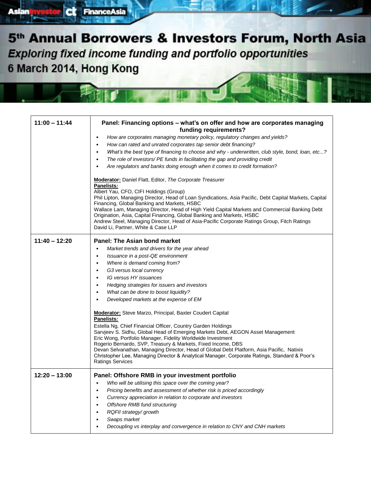FinanceAsia

ct

**Asian** 

| $11:00 - 11:44$ | Panel: Financing options – what's on offer and how are corporates managing<br>funding requirements?                                              |  |  |
|-----------------|--------------------------------------------------------------------------------------------------------------------------------------------------|--|--|
|                 | How are corporates managing monetary policy, regulatory changes and yields?<br>$\bullet$                                                         |  |  |
|                 | How can rated and unrated corporates tap senior debt financing?<br>$\bullet$                                                                     |  |  |
|                 | What's the best type of financing to choose and why - underwritten, club style, bond, loan, etc?<br>$\bullet$                                    |  |  |
|                 | The role of investors/ PE funds in facilitating the gap and providing credit<br>$\bullet$                                                        |  |  |
|                 | Are regulators and banks doing enough when it comes to credit formation?                                                                         |  |  |
|                 |                                                                                                                                                  |  |  |
|                 | <b>Moderator:</b> Daniel Flatt, Editor, The Corporate Treasurer                                                                                  |  |  |
|                 | Panelists:                                                                                                                                       |  |  |
|                 | Albert Yau, CFO, CIFI Holdings (Group)<br>Phil Lipton, Managing Director, Head of Loan Syndications, Asia Pacific, Debt Capital Markets, Capital |  |  |
|                 | Financing, Global Banking and Markets, HSBC                                                                                                      |  |  |
|                 | Wallace Lam, Managing Director, Head of High Yield Capital Markets and Commercial Banking Debt                                                   |  |  |
|                 | Origination, Asia, Capital Financing, Global Banking and Markets, HSBC                                                                           |  |  |
|                 | Andrew Steel, Managing Director, Head of Asia-Pacific Corporate Ratings Group, Fitch Ratings                                                     |  |  |
|                 | David Li, Partner, White & Case LLP                                                                                                              |  |  |
| $11:40 - 12:20$ | <b>Panel: The Asian bond market</b>                                                                                                              |  |  |
|                 | Market trends and drivers for the year ahead                                                                                                     |  |  |
|                 | Issuance in a post-QE environment<br>$\bullet$                                                                                                   |  |  |
|                 | Where is demand coming from?<br>$\bullet$                                                                                                        |  |  |
|                 | G3 versus local currency<br>$\bullet$                                                                                                            |  |  |
|                 | IG versus HY issuances<br>$\bullet$                                                                                                              |  |  |
|                 | Hedging strategies for issuers and investors<br>$\bullet$                                                                                        |  |  |
|                 | What can be done to boost liquidity?<br>$\bullet$                                                                                                |  |  |
|                 | Developed markets at the expense of EM                                                                                                           |  |  |
|                 | <b>Moderator:</b> Steve Marzo, Principal, Baxter Coudert Capital                                                                                 |  |  |
|                 | Panelists:                                                                                                                                       |  |  |
|                 | Estella Ng, Chief Financial Officer, Country Garden Holdings                                                                                     |  |  |
|                 | Sarvjeev S. Sidhu, Global Head of Emerging Markets Debt, AEGON Asset Management<br>Eric Wong, Portfolio Manager, Fidelity Worldwide Investment   |  |  |
|                 | Rogerio Bernardo, SVP, Treasury & Markets, Fixed Income, DBS                                                                                     |  |  |
|                 | Devan Selvanathan, Managing Director, Head of Global Debt Platform, Asia Pacific, Natixis                                                        |  |  |
|                 | Christopher Lee, Managing Director & Analytical Manager, Corporate Ratings, Standard & Poor's                                                    |  |  |
|                 | <b>Ratings Services</b>                                                                                                                          |  |  |
| $12:20 - 13:00$ | Panel: Offshore RMB in your investment portfolio                                                                                                 |  |  |
|                 | Who will be utilising this space over the coming year?<br>$\bullet$                                                                              |  |  |
|                 | Pricing benefits and assessment of whether risk is priced accordingly<br>$\bullet$                                                               |  |  |
|                 | Currency appreciation in relation to corporate and investors<br>$\bullet$                                                                        |  |  |
|                 | Offshore RMB fund structuring<br>$\bullet$                                                                                                       |  |  |
|                 | RQFII strategy/growth<br>$\bullet$                                                                                                               |  |  |
|                 | Swaps market<br>$\bullet$                                                                                                                        |  |  |
|                 | Decoupling vs interplay and convergence in relation to CNY and CNH markets<br>$\bullet$                                                          |  |  |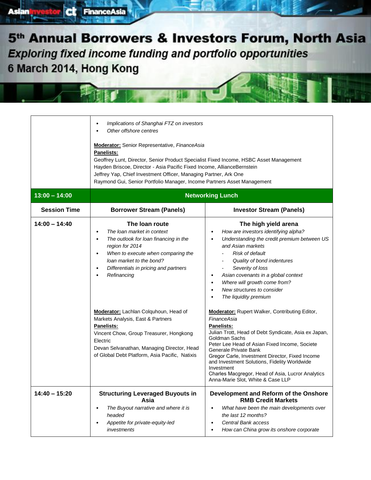**CL** FinanceAsia

**Asian** 

Г

|                                        | Implications of Shanghai FTZ on investors<br>Other offshore centres<br><b>Moderator:</b> Senior Representative, FinanceAsia<br>Panelists:<br>Geoffrey Lunt, Director, Senior Product Specialist Fixed Income, HSBC Asset Management<br>Hayden Briscoe, Director - Asia Pacific Fixed Income, AllianceBernstein<br>Jeffrey Yap, Chief Investment Officer, Managing Partner, Ark One<br>Raymond Gui, Senior Portfolio Manager, Income Partners Asset Management |                                                                                                                                                                                                                                                                                                                                                                                                                                                         |  |
|----------------------------------------|---------------------------------------------------------------------------------------------------------------------------------------------------------------------------------------------------------------------------------------------------------------------------------------------------------------------------------------------------------------------------------------------------------------------------------------------------------------|---------------------------------------------------------------------------------------------------------------------------------------------------------------------------------------------------------------------------------------------------------------------------------------------------------------------------------------------------------------------------------------------------------------------------------------------------------|--|
| $13:00 - 14:00$<br><b>Session Time</b> | <b>Networking Lunch</b><br><b>Investor Stream (Panels)</b><br><b>Borrower Stream (Panels)</b>                                                                                                                                                                                                                                                                                                                                                                 |                                                                                                                                                                                                                                                                                                                                                                                                                                                         |  |
| $14:00 - 14:40$                        | The loan route<br>The loan market in context<br>The outlook for loan financing in the<br>٠<br>region for 2014<br>When to execute when comparing the<br>loan market to the bond?<br>Differentials in pricing and partners<br>Refinancing                                                                                                                                                                                                                       | The high yield arena<br>How are investors identifying alpha?<br>Understanding the credit premium between US<br>and Asian markets<br>Risk of default<br>Quality of bond indentures<br>Severity of loss<br>Asian covenants in a global context<br>Where will growth come from?<br>New structures to consider<br>The liquidity premium                                                                                                                     |  |
|                                        | <b>Moderator:</b> Lachlan Colquhoun, Head of<br>Markets Analysis, East & Partners<br><b>Panelists:</b><br>Vincent Chow, Group Treasurer, Hongkong<br>Electric<br>Devan Selvanathan, Managing Director, Head<br>of Global Debt Platform, Asia Pacific, Natixis                                                                                                                                                                                                 | <b>Moderator:</b> Rupert Walker, Contributing Editor,<br>FinanceAsia<br><b>Panelists:</b><br>Julian Trott, Head of Debt Syndicate, Asia ex Japan,<br>Goldman Sachs<br>Peter Lee Head of Asian Fixed Income, Societe<br>Generale Private Bank<br>Gregor Carle, Investment Director, Fixed Income<br>and Investment Solutions, Fidelity Worldwide<br>Investment<br>Charles Macgregor, Head of Asia, Lucror Analytics<br>Anna-Marie Slot, White & Case LLP |  |
| $14:40 - 15:20$                        | <b>Structuring Leveraged Buyouts in</b><br>Asia<br>The Buyout narrative and where it is<br>٠<br>headed<br>Appetite for private-equity-led<br>investments                                                                                                                                                                                                                                                                                                      | Development and Reform of the Onshore<br><b>RMB Credit Markets</b><br>What have been the main developments over<br>the last 12 months?<br>Central Bank access<br>How can China grow its onshore corporate                                                                                                                                                                                                                                               |  |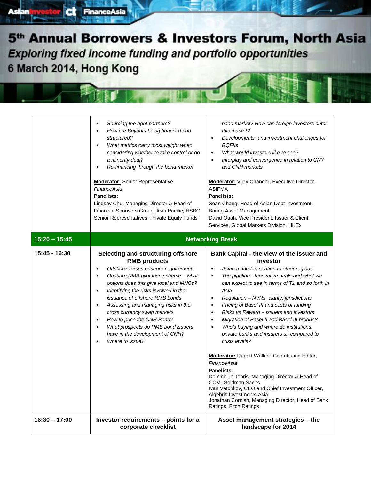ct

**Asian** 

FinanceAsia

|                 | Sourcing the right partners?<br>$\bullet$<br>How are Buyouts being financed and<br>structured?<br>What metrics carry most weight when<br>$\bullet$<br>considering whether to take control or do<br>a minority deal?<br>Re-financing through the bond market<br><b>Moderator:</b> Senior Representative,<br>FinanceAsia<br><b>Panelists:</b><br>Lindsay Chu, Managing Director & Head of<br>Financial Sponsors Group, Asia Pacific, HSBC<br>Senior Representatives, Private Equity Funds                                 | bond market? How can foreign investors enter<br>this market?<br>Developments and investment challenges for<br><b>RQFIIs</b><br>What would investors like to see?<br>$\bullet$<br>Interplay and convergence in relation to CNY<br>٠<br>and CNH markets<br><b>Moderator:</b> Vijay Chander, Executive Director,<br><b>ASIFMA</b><br><b>Panelists:</b><br>Sean Chang, Head of Asian Debt Investment,<br><b>Baring Asset Management</b><br>David Quah, Vice President, Issuer & Client<br>Services, Global Markets Division, HKEx                                                                                                                                                                                                                                                                                                                                                                                |  |
|-----------------|-------------------------------------------------------------------------------------------------------------------------------------------------------------------------------------------------------------------------------------------------------------------------------------------------------------------------------------------------------------------------------------------------------------------------------------------------------------------------------------------------------------------------|--------------------------------------------------------------------------------------------------------------------------------------------------------------------------------------------------------------------------------------------------------------------------------------------------------------------------------------------------------------------------------------------------------------------------------------------------------------------------------------------------------------------------------------------------------------------------------------------------------------------------------------------------------------------------------------------------------------------------------------------------------------------------------------------------------------------------------------------------------------------------------------------------------------|--|
| $15:20 - 15:45$ | <b>Networking Break</b>                                                                                                                                                                                                                                                                                                                                                                                                                                                                                                 |                                                                                                                                                                                                                                                                                                                                                                                                                                                                                                                                                                                                                                                                                                                                                                                                                                                                                                              |  |
| 15:45 - 16:30   | Selecting and structuring offshore<br><b>RMB</b> products<br>Offshore versus onshore requirements<br>Onshore RMB pilot loan scheme - what<br>$\bullet$<br>options does this give local and MNCs?<br>Identifying the risks involved in the<br>$\bullet$<br>issuance of offshore RMB bonds<br>Assessing and managing risks in the<br>٠<br>cross currency swap markets<br>How to price the CNH Bond?<br>$\bullet$<br>What prospects do RMB bond issuers<br>$\bullet$<br>have in the development of CNH?<br>Where to issue? | Bank Capital - the view of the issuer and<br>investor<br>Asian market in relation to other regions<br>$\bullet$<br>The pipeline - Innovative deals and what we<br>$\bullet$<br>can expect to see in terms of T1 and so forth in<br>Asia<br>Regulation - NVRs, clarity, jurisdictions<br>٠<br>Pricing of Basel III and costs of funding<br>$\bullet$<br>Risks vs Reward - issuers and investors<br>٠<br>Migration of Basel II and Basel III products<br>٠<br>Who's buying and where do institutions,<br>٠<br>private banks and insurers sit compared to<br>crisis levels?<br><b>Moderator:</b> Rupert Walker, Contributing Editor,<br>FinanceAsia<br><b>Panelists:</b><br>Dominique Jooris, Managing Director & Head of<br>CCM, Goldman Sachs<br>Ivan Vatchkov, CEO and Chief Investment Officer,<br>Algebris Investments Asia<br>Jonathan Cornish, Managing Director, Head of Bank<br>Ratings, Fitch Ratings |  |
| $16:30 - 17:00$ | Investor requirements - points for a<br>corporate checklist                                                                                                                                                                                                                                                                                                                                                                                                                                                             | Asset management strategies - the<br>landscape for 2014                                                                                                                                                                                                                                                                                                                                                                                                                                                                                                                                                                                                                                                                                                                                                                                                                                                      |  |